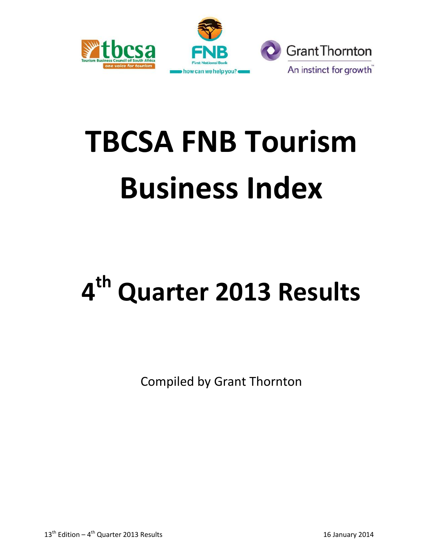

# **TBCSA FNB Tourism Business Index**

## **4 th Quarter 2013 Results**

Compiled by Grant Thornton

13<sup>th</sup> Edition – 4<sup>th</sup> Quarter 2013 Results 15 January 2014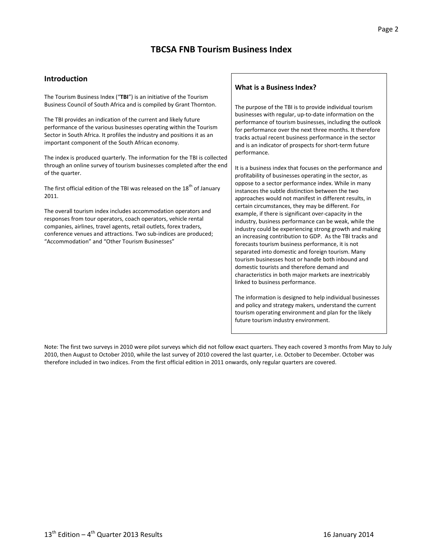## **TBCSA FNB Tourism Business Index**

#### **Introduction**

The Tourism Business Index ("**TBI**") is an initiative of the Tourism Business Council of South Africa and is compiled by Grant Thornton.

The TBI provides an indication of the current and likely future performance of the various businesses operating within the Tourism Sector in South Africa. It profiles the industry and positions it as an important component of the South African economy.

The index is produced quarterly. The information for the TBI is collected through an online survey of tourism businesses completed after the end of the quarter.

The first official edition of the TBI was released on the  $18^{th}$  of January 2011.

The overall tourism index includes accommodation operators and responses from tour operators, coach operators, vehicle rental companies, airlines, travel agents, retail outlets, forex traders, conference venues and attractions. Two sub-indices are produced; "Accommodation" and "Other Tourism Businesses"

#### **What is a Business Index?**

The purpose of the TBI is to provide individual tourism businesses with regular, up-to-date information on the performance of tourism businesses, including the outlook for performance over the next three months. It therefore tracks actual recent business performance in the sector and is an indicator of prospects for short-term future performance.

It is a business index that focuses on the performance and profitability of businesses operating in the sector, as oppose to a sector performance index. While in many instances the subtle distinction between the two approaches would not manifest in different results, in certain circumstances, they may be different. For example, if there is significant over-capacity in the industry, business performance can be weak, while the industry could be experiencing strong growth and making an increasing contribution to GDP. As the TBI tracks and forecasts tourism business performance, it is not separated into domestic and foreign tourism. Many tourism businesses host or handle both inbound and domestic tourists and therefore demand and characteristics in both major markets are inextricably linked to business performance.

The information is designed to help individual businesses and policy and strategy makers, understand the current tourism operating environment and plan for the likely future tourism industry environment.

Note: The first two surveys in 2010 were pilot surveys which did not follow exact quarters. They each covered 3 months from May to July 2010, then August to October 2010, while the last survey of 2010 covered the last quarter, i.e. October to December. October was therefore included in two indices. From the first official edition in 2011 onwards, only regular quarters are covered.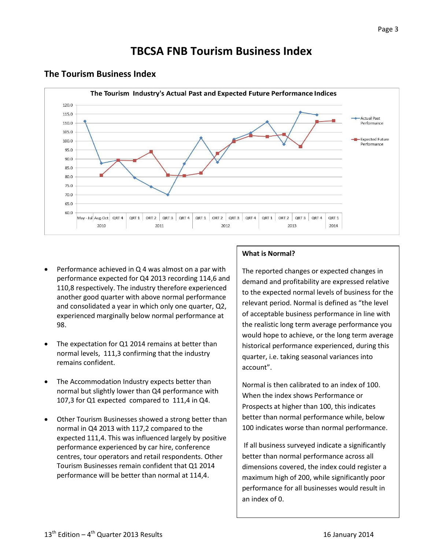## **TBCSA FNB Tourism Business Index**



### **The Tourism Business Index**

- Performance achieved in Q 4 was almost on a par with performance expected for Q4 2013 recording 114,6 and 110,8 respectively. The industry therefore experienced another good quarter with above normal performance and consolidated a year in which only one quarter, Q2, experienced marginally below normal performance at 98.
- The expectation for Q1 2014 remains at better than normal levels, 111,3 confirming that the industry remains confident.
- The Accommodation Industry expects better than normal but slightly lower than Q4 performance with 107,3 for Q1 expected compared to 111,4 in Q4.
- Other Tourism Businesses showed a strong better than normal in Q4 2013 with 117,2 compared to the expected 111,4. This was influenced largely by positive performance experienced by car hire, conference centres, tour operators and retail respondents. Other Tourism Businesses remain confident that Q1 2014 performance will be better than normal at 114,4.

## **What is Normal?**

The reported changes or expected changes in demand and profitability are expressed relative to the expected normal levels of business for the relevant period. Normal is defined as "the level of acceptable business performance in line with the realistic long term average performance you would hope to achieve, or the long term average historical performance experienced, during this quarter, i.e. taking seasonal variances into account".

Normal is then calibrated to an index of 100. When the index shows Performance or Prospects at higher than 100, this indicates better than normal performance while, below 100 indicates worse than normal performance.

If all business surveyed indicate a significantly better than normal performance across all dimensions covered, the index could register a maximum high of 200, while significantly poor performance for all businesses would result in an index of 0.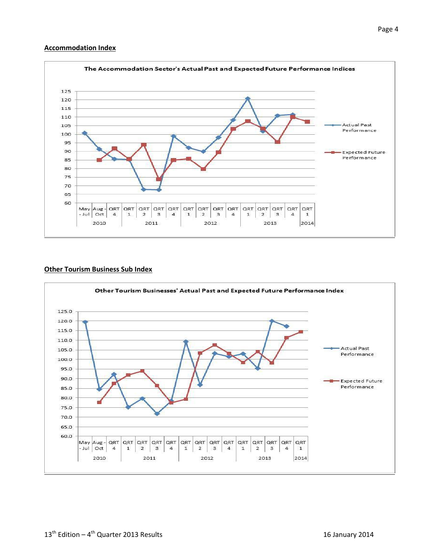#### **Accommodation Index**



#### **Other Tourism Business Sub Index**

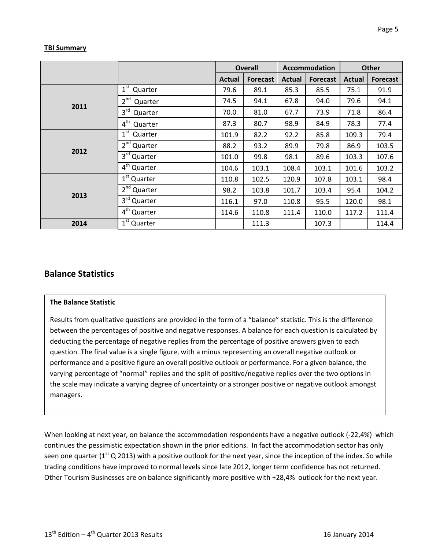#### **TBI Summary**

|      |                         | <b>Overall</b> |                 | Accommodation |                 | <b>Other</b>  |                 |
|------|-------------------------|----------------|-----------------|---------------|-----------------|---------------|-----------------|
|      |                         | <b>Actual</b>  | <b>Forecast</b> | <b>Actual</b> | <b>Forecast</b> | <b>Actual</b> | <b>Forecast</b> |
|      | $1st$ Quarter           | 79.6           | 89.1            | 85.3          | 85.5            | 75.1          | 91.9            |
|      | $2^{nd}$<br>Quarter     | 74.5           | 94.1            | 67.8          | 94.0            | 79.6          | 94.1            |
| 2011 | 3rd Quarter             | 70.0           | 81.0            | 67.7          | 73.9            | 71.8          | 86.4            |
|      | 4 <sup>th</sup> Quarter | 87.3           | 80.7            | 98.9          | 84.9            | 78.3          | 77.4            |
|      | $1st$ Quarter           | 101.9          | 82.2            | 92.2          | 85.8            | 109.3         | 79.4            |
|      | 2 <sup>nd</sup> Quarter | 88.2           | 93.2            | 89.9          | 79.8            | 86.9          | 103.5           |
| 2012 | 3rd Quarter             | 101.0          | 99.8            | 98.1          | 89.6            | 103.3         | 107.6           |
|      | $4th$ Quarter           | 104.6          | 103.1           | 108.4         | 103.1           | 101.6         | 103.2           |
| 2013 | 1 <sup>st</sup> Quarter | 110.8          | 102.5           | 120.9         | 107.8           | 103.1         | 98.4            |
|      | 2 <sup>nd</sup> Quarter | 98.2           | 103.8           | 101.7         | 103.4           | 95.4          | 104.2           |
|      | 3rd Quarter             | 116.1          | 97.0            | 110.8         | 95.5            | 120.0         | 98.1            |
|      | 4 <sup>th</sup> Quarter | 114.6          | 110.8           | 111.4         | 110.0           | 117.2         | 111.4           |
| 2014 | 1 <sup>st</sup> Quarter |                | 111.3           |               | 107.3           |               | 114.4           |

## **Balance Statistics**

#### **The Balance Statistic**

Results from qualitative questions are provided in the form of a "balance" statistic. This is the difference between the percentages of positive and negative responses. A balance for each question is calculated by deducting the percentage of negative replies from the percentage of positive answers given to each question. The final value is a single figure, with a minus representing an overall negative outlook or performance and a positive figure an overall positive outlook or performance. For a given balance, the varying percentage of "normal" replies and the split of positive/negative replies over the two options in the scale may indicate a varying degree of uncertainty or a stronger positive or negative outlook amongst managers.

When looking at next year, on balance the accommodation respondents have a negative outlook (-22,4%) which continues the pessimistic expectation shown in the prior editions. In fact the accommodation sector has only seen one quarter ( $1<sup>st</sup>$  Q 2013) with a positive outlook for the next year, since the inception of the index. So while trading conditions have improved to normal levels since late 2012, longer term confidence has not returned. Other Tourism Businesses are on balance significantly more positive with +28,4% outlook for the next year.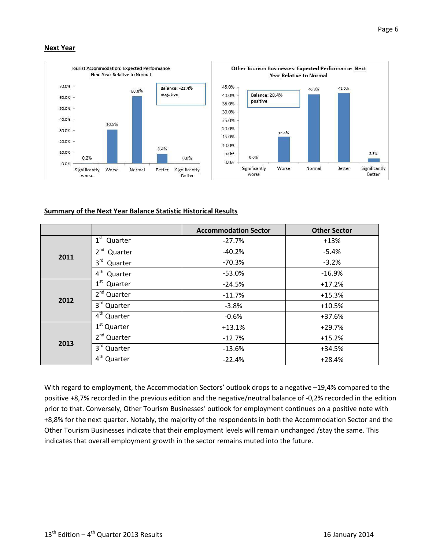#### **Next Year**



#### **Summary of the Next Year Balance Statistic Historical Results**

|      |                                    | <b>Accommodation Sector</b> | <b>Other Sector</b> |  |
|------|------------------------------------|-----------------------------|---------------------|--|
|      | $1^{\rm st}$<br>Quarter            | $-27.7%$                    | $+13%$              |  |
|      | $2^{nd}$<br>Quarter                | $-40.2%$                    | $-5.4%$             |  |
| 2011 | 3 <sup>rd</sup><br>Quarter         | $-70.3%$                    | $-3.2%$             |  |
|      | 4 <sup>th</sup><br>Quarter         | $-53.0%$                    | $-16.9%$            |  |
|      | $1^{\rm st}$<br>Quarter            | $-24.5%$                    | $+17.2%$            |  |
|      | 2 <sup>nd</sup> Quarter            | $-11.7%$                    | $+15.3%$            |  |
| 2012 | 3rd Quarter                        | $-3.8%$                     | $+10.5%$            |  |
|      | $\overline{4}^{\text{th}}$ Quarter | $-0.6%$                     | +37.6%              |  |
|      | $1st$ Quarter                      | $+13.1%$                    | $+29.7%$            |  |
| 2013 | $2nd$ Quarter                      | $-12.7%$                    | $+15.2%$            |  |
|      | 3rd Quarter                        | $-13.6%$                    | +34.5%              |  |
|      | 4 <sup>th</sup><br>Quarter         | $-22.4%$                    | $+28.4%$            |  |

With regard to employment, the Accommodation Sectors' outlook drops to a negative –19,4% compared to the positive +8,7% recorded in the previous edition and the negative/neutral balance of -0,2% recorded in the edition prior to that. Conversely, Other Tourism Businesses' outlook for employment continues on a positive note with +8,8% for the next quarter. Notably, the majority of the respondents in both the Accommodation Sector and the Other Tourism Businesses indicate that their employment levels will remain unchanged /stay the same. This indicates that overall employment growth in the sector remains muted into the future.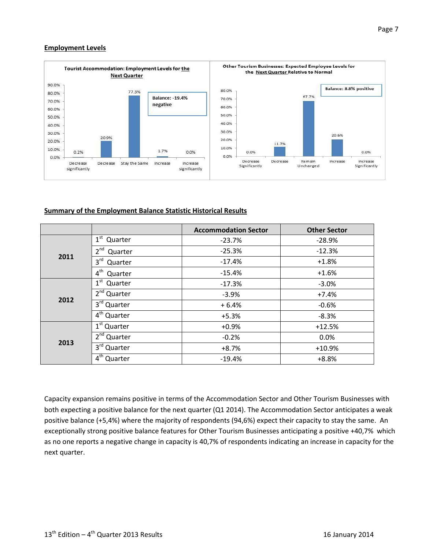#### **Employment Levels**



#### **Summary of the Employment Balance Statistic Historical Results**

|      |                                       | <b>Accommodation Sector</b> | <b>Other Sector</b> |
|------|---------------------------------------|-----------------------------|---------------------|
|      | $1st$ Quarter                         | $-23.7%$                    | $-28.9%$            |
|      | 2 <sup>nd</sup><br>Quarter            | $-25.3%$                    | $-12.3%$            |
| 2011 | $3^{\text{rd}}$<br>Quarter            | $-17.4%$                    | $+1.8%$             |
|      | 4 <sup>th</sup><br>Quarter            | $-15.4%$                    | $+1.6%$             |
|      | $1st$ Quarter                         | $-17.3%$                    | $-3.0%$             |
| 2012 | 2 <sup>nd</sup> Quarter               | $-3.9%$                     | $+7.4%$             |
|      | 3rd Quarter                           | $+6.4%$                     | $-0.6%$             |
|      | $\overline{4}^{\text{th}}$ Quarter    | $+5.3%$                     | $-8.3%$             |
|      | 1 <sup>st</sup> Quarter               | $+0.9%$                     | $+12.5%$            |
|      | $2nd$ Quarter                         | $-0.2%$                     | 0.0%                |
| 2013 | 3rd Quarter                           | $+8.7%$                     | $+10.9%$            |
|      | $4^{\overline{\text{th}}}$<br>Quarter | $-19.4%$                    | $+8.8%$             |

Capacity expansion remains positive in terms of the Accommodation Sector and Other Tourism Businesses with both expecting a positive balance for the next quarter (Q1 2014). The Accommodation Sector anticipates a weak positive balance (+5,4%) where the majority of respondents (94,6%) expect their capacity to stay the same. An exceptionally strong positive balance features for Other Tourism Businesses anticipating a positive +40,7% which as no one reports a negative change in capacity is 40,7% of respondents indicating an increase in capacity for the next quarter.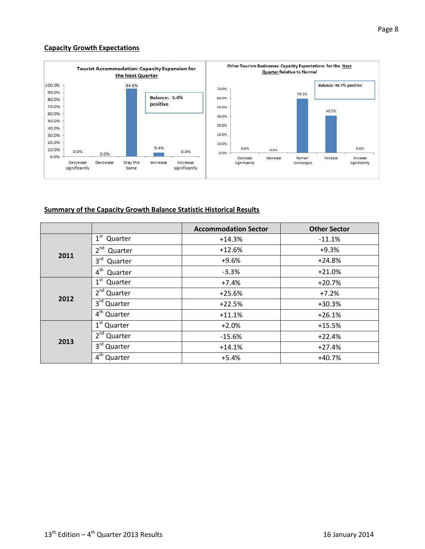#### **Capacity Growth Expectations**



#### **Summary of the Capacity Growth Balance Statistic Historical Results**

|      |                                       | <b>Accommodation Sector</b> | <b>Other Sector</b> |
|------|---------------------------------------|-----------------------------|---------------------|
|      | $1st$ Quarter                         | $+14.3%$                    | $-11.1%$            |
|      | 2 <sup>nd</sup><br>Quarter            | $+12.6%$                    | $+9.3%$             |
| 2011 | 3 <sup>rd</sup><br>Quarter            | $+9.6%$                     | $+24.8%$            |
|      | 4 <sup>th</sup><br>Quarter            | $-3.3%$                     | $+21.0%$            |
|      | $1st$ Quarter                         | $+7.4%$                     | $+20.7%$            |
| 2012 | 2 <sup>nd</sup> Quarter               | $+25.6%$                    | $+7.2%$             |
|      | 3rd Quarter                           | $+22.5%$                    | $+30.3%$            |
|      | 4 <sup>th</sup> Quarter               | $+11.1%$                    | $+26.1%$            |
|      | 1 <sup>st</sup> Quarter               | $+2.0%$                     | $+15.5%$            |
| 2013 | 2 <sup>nd</sup> Quarter               | $-15.6%$                    | $+22.4%$            |
|      | $3rd$ Quarter                         | $+14.1%$                    | $+27.4%$            |
|      | $4^{\overline{\text{th}}}$<br>Quarter | $+5.4%$                     | $+40.7%$            |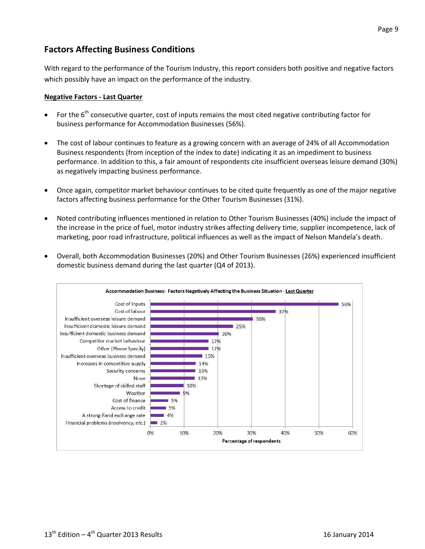## **Factors Affecting Business Conditions**

With regard to the performance of the Tourism Industry, this report considers both positive and negative factors which possibly have an impact on the performance of the industry.

#### **Negative Factors - Last Quarter**

- For the  $6<sup>th</sup>$  consecutive quarter, cost of inputs remains the most cited negative contributing factor for business performance for Accommodation Businesses (56%).
- The cost of labour continues to feature as a growing concern with an average of 24% of all Accommodation Business respondents (from inception of the index to date) indicating it as an impediment to business performance. In addition to this, a fair amount of respondents cite insufficient overseas leisure demand (30%) as negatively impacting business performance.
- Once again, competitor market behaviour continues to be cited quite frequently as one of the major negative factors affecting business performance for the Other Tourism Businesses (31%).
- Noted contributing influences mentioned in relation to Other Tourism Businesses (40%) include the impact of the increase in the price of fuel, motor industry strikes affecting delivery time, supplier incompetence, lack of marketing, poor road infrastructure, political influences as well as the impact of Nelson Mandela's death.



 Overall, both Accommodation Businesses (20%) and Other Tourism Businesses (26%) experienced insufficient domestic business demand during the last quarter (Q4 of 2013).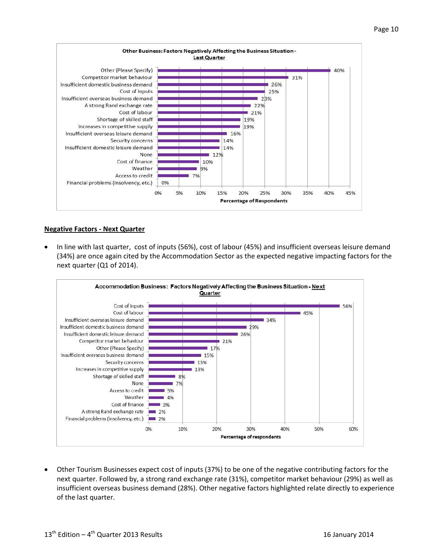

#### **Negative Factors - Next Quarter**

 In line with last quarter, cost of inputs (56%), cost of labour (45%) and insufficient overseas leisure demand (34%) are once again cited by the Accommodation Sector as the expected negative impacting factors for the next quarter (Q1 of 2014).



 Other Tourism Businesses expect cost of inputs (37%) to be one of the negative contributing factors for the next quarter. Followed by, a strong rand exchange rate (31%), competitor market behaviour (29%) as well as insufficient overseas business demand (28%). Other negative factors highlighted relate directly to experience of the last quarter.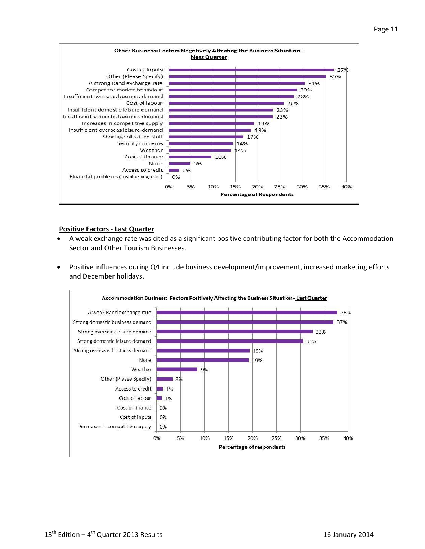



#### **Positive Factors - Last Quarter**

- A weak exchange rate was cited as a significant positive contributing factor for both the Accommodation Sector and Other Tourism Businesses.
- Positive influences during Q4 include business development/improvement, increased marketing efforts and December holidays.

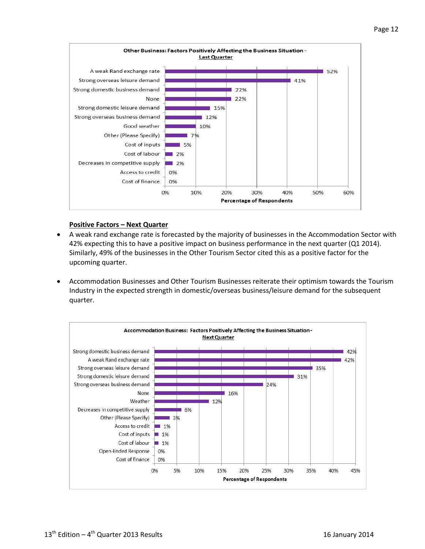

#### **Positive Factors – Next Quarter**

- A weak rand exchange rate is forecasted by the majority of businesses in the Accommodation Sector with 42% expecting this to have a positive impact on business performance in the next quarter (Q1 2014). Similarly, 49% of the businesses in the Other Tourism Sector cited this as a positive factor for the upcoming quarter.
- Accommodation Businesses and Other Tourism Businesses reiterate their optimism towards the Tourism Industry in the expected strength in domestic/overseas business/leisure demand for the subsequent quarter.

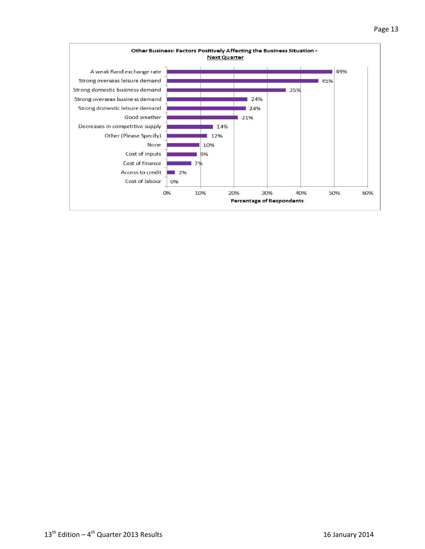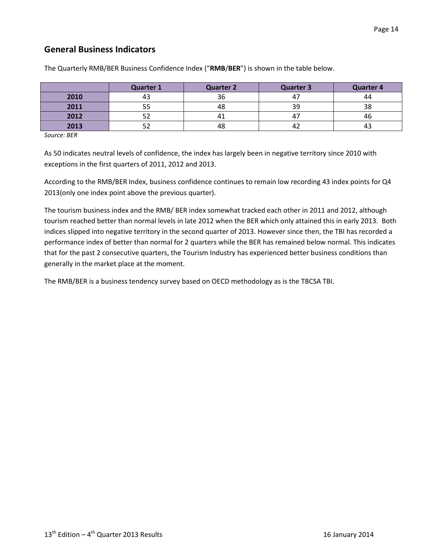## **General Business Indicators**

|      | <b>Quarter 1</b> | <b>Quarter 2</b> | <b>Quarter 3</b> | <b>Quarter 4</b> |
|------|------------------|------------------|------------------|------------------|
| 2010 |                  | 36               | 47               | 44               |
| 2011 |                  | 48               | 39               | 38               |
| 2012 |                  | 4⊾               | 47               | 46               |
| 2013 |                  | 48               | ے 4              | 43               |

The Quarterly RMB/BER Business Confidence Index ("**RMB**/**BER**") is shown in the table below.

*Source: BER*

As 50 indicates neutral levels of confidence, the index has largely been in negative territory since 2010 with exceptions in the first quarters of 2011, 2012 and 2013.

According to the RMB/BER Index, business confidence continues to remain low recording 43 index points for Q4 2013(only one index point above the previous quarter).

The tourism business index and the RMB/ BER index somewhat tracked each other in 2011 and 2012, although tourism reached better than normal levels in late 2012 when the BER which only attained this in early 2013. Both indices slipped into negative territory in the second quarter of 2013. However since then, the TBI has recorded a performance index of better than normal for 2 quarters while the BER has remained below normal. This indicates that for the past 2 consecutive quarters, the Tourism Industry has experienced better business conditions than generally in the market place at the moment.

The RMB/BER is a business tendency survey based on OECD methodology as is the TBCSA TBI.